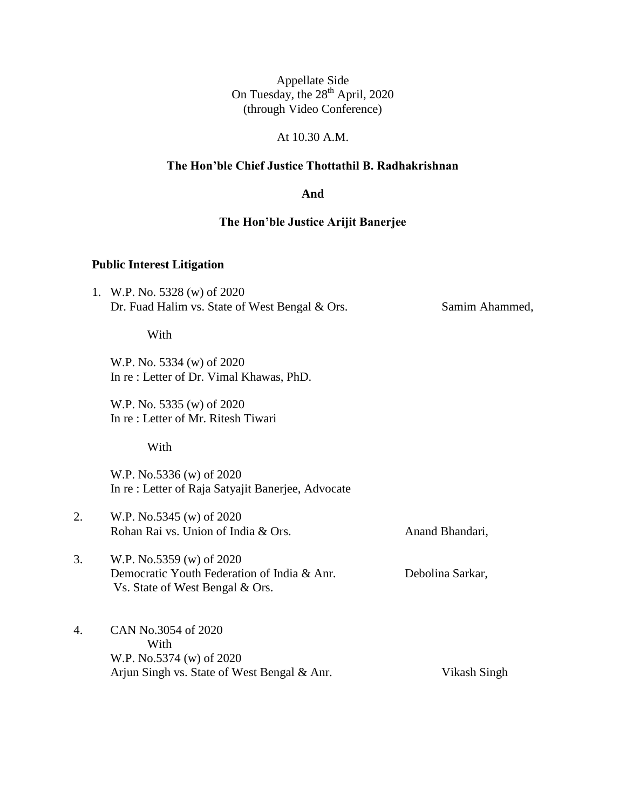# At 10.30 A.M.

### **The Hon'ble Chief Justice Thottathil B. Radhakrishnan**

#### **And**

#### **The Hon'ble Justice Arijit Banerjee**

#### **Public Interest Litigation**

1. W.P. No. 5328 (w) of 2020 Dr. Fuad Halim vs. State of West Bengal & Ors. Samim Ahammed,

#### With

W.P. No. 5334 (w) of 2020 In re : Letter of Dr. Vimal Khawas, PhD.

W.P. No. 5335 (w) of 2020 In re : Letter of Mr. Ritesh Tiwari

With

W.P. No.5336 (w) of 2020 In re : Letter of Raja Satyajit Banerjee, Advocate

2. W.P. No.5345 (w) of 2020 Rohan Rai vs. Union of India & Ors. Anand Bhandari,

- 3. W.P. No.5359 (w) of 2020 Democratic Youth Federation of India & Anr. Debolina Sarkar, Vs. State of West Bengal & Ors.
	-
- 4. CAN No.3054 of 2020 With W.P. No.5374 (w) of 2020 Arjun Singh vs. State of West Bengal & Anr. Vikash Singh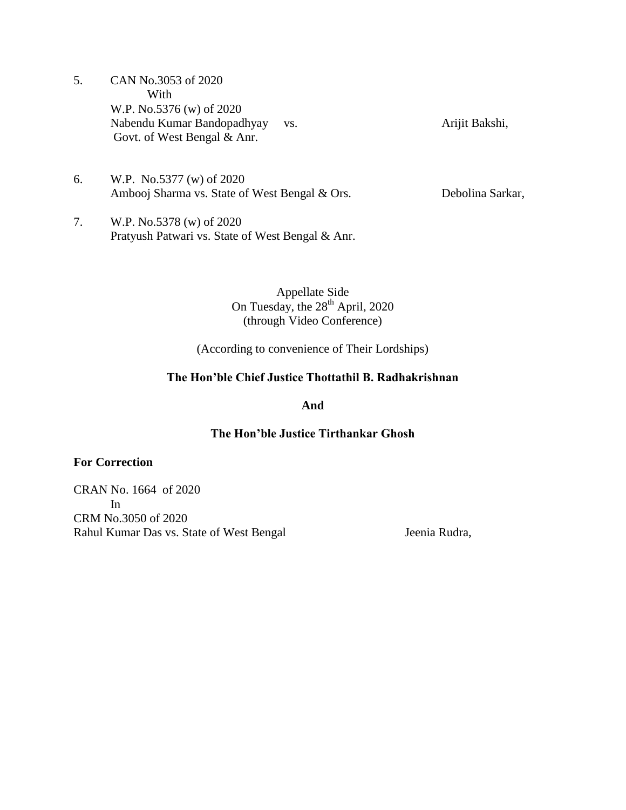- 5. CAN No.3053 of 2020 With W.P. No.5376 (w) of 2020 Nabendu Kumar Bandopadhyay vs. Arijit Bakshi, Govt. of West Bengal & Anr.
- 6. W.P. No.5377 (w) of 2020 Ambooj Sharma vs. State of West Bengal & Ors. Debolina Sarkar,
- 7. W.P. No.5378 (w) of 2020 Pratyush Patwari vs. State of West Bengal & Anr.

(According to convenience of Their Lordships)

## **The Hon'ble Chief Justice Thottathil B. Radhakrishnan**

**And**

### **The Hon'ble Justice Tirthankar Ghosh**

## **For Correction**

CRAN No. 1664 of 2020 In CRM No.3050 of 2020 Rahul Kumar Das vs. State of West Bengal Jeenia Rudra,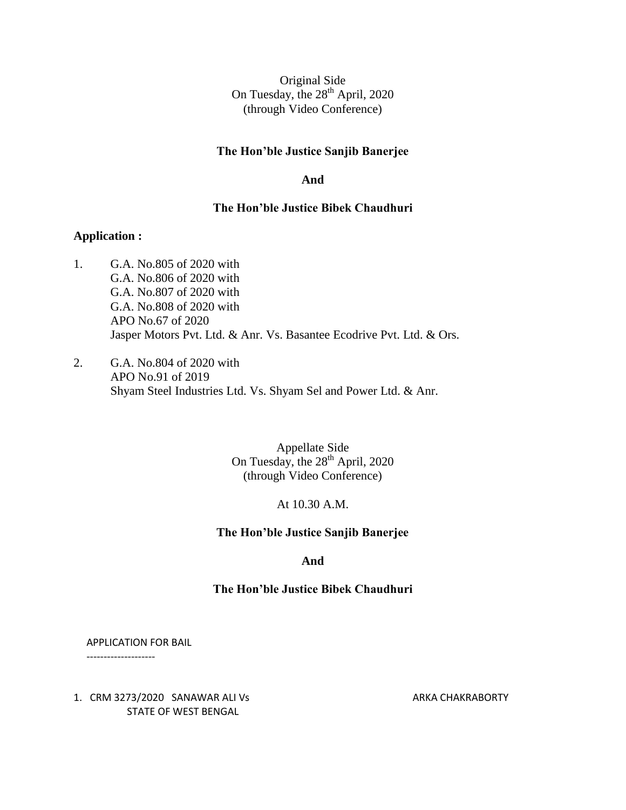#### **The Hon'ble Justice Sanjib Banerjee**

#### **And**

#### **The Hon'ble Justice Bibek Chaudhuri**

#### **Application :**

- 1. G.A. No.805 of 2020 with G.A. No.806 of 2020 with G.A. No.807 of 2020 with G.A. No.808 of 2020 with APO No.67 of 2020 Jasper Motors Pvt. Ltd. & Anr. Vs. Basantee Ecodrive Pvt. Ltd. & Ors.
- 2. G.A. No.804 of 2020 with APO No.91 of 2019 Shyam Steel Industries Ltd. Vs. Shyam Sel and Power Ltd. & Anr.

Appellate Side On Tuesday, the  $28<sup>th</sup>$  April, 2020 (through Video Conference)

#### At 10.30 A.M.

#### **The Hon'ble Justice Sanjib Banerjee**

**And**

#### **The Hon'ble Justice Bibek Chaudhuri**

APPLICATION FOR BAIL

--------------------

1. CRM 3273/2020 SANAWAR ALI Vs ARKA CHAKRABORTY STATE OF WEST BENGAL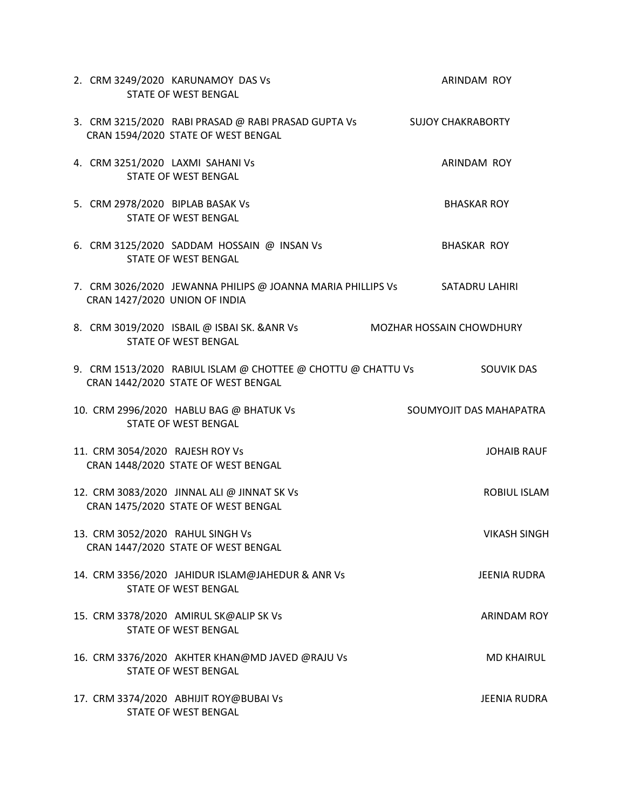| 2. CRM 3249/2020 KARUNAMOY DAS Vs<br><b>STATE OF WEST BENGAL</b>                                               | ARINDAM ROY                     |
|----------------------------------------------------------------------------------------------------------------|---------------------------------|
| 3. CRM 3215/2020 RABI PRASAD @ RABI PRASAD GUPTA Vs SUJOY CHAKRABORTY<br>CRAN 1594/2020 STATE OF WEST BENGAL   |                                 |
| 4. CRM 3251/2020 LAXMI SAHANI Vs<br><b>STATE OF WEST BENGAL</b>                                                | ARINDAM ROY                     |
| 5. CRM 2978/2020 BIPLAB BASAK Vs<br><b>STATE OF WEST BENGAL</b>                                                | <b>BHASKAR ROY</b>              |
| 6. CRM 3125/2020 SADDAM HOSSAIN @ INSAN Vs<br><b>STATE OF WEST BENGAL</b>                                      | <b>BHASKAR ROY</b>              |
| 7. CRM 3026/2020 JEWANNA PHILIPS @ JOANNA MARIA PHILLIPS Vs SATADRU LAHIRI<br>CRAN 1427/2020 UNION OF INDIA    |                                 |
| 8. CRM 3019/2020 ISBAIL @ ISBAI SK. & ANR Vs<br><b>STATE OF WEST BENGAL</b>                                    | <b>MOZHAR HOSSAIN CHOWDHURY</b> |
| 9. CRM 1513/2020 RABIUL ISLAM @ CHOTTEE @ CHOTTU @ CHATTU Vs SOUVIK DAS<br>CRAN 1442/2020 STATE OF WEST BENGAL |                                 |
| 10. CRM 2996/2020 HABLU BAG @ BHATUK Vs<br><b>STATE OF WEST BENGAL</b>                                         | SOUMYOJIT DAS MAHAPATRA         |
| 11. CRM 3054/2020 RAJESH ROY Vs<br>CRAN 1448/2020 STATE OF WEST BENGAL                                         | <b>JOHAIB RAUF</b>              |
| 12. CRM 3083/2020 JINNAL ALI @ JINNAT SK Vs<br>CRAN 1475/2020 STATE OF WEST BENGAL                             | ROBIUL ISLAM                    |
| 13. CRM 3052/2020 RAHUL SINGH Vs<br>CRAN 1447/2020 STATE OF WEST BENGAL                                        | <b>VIKASH SINGH</b>             |
| 14. CRM 3356/2020 JAHIDUR ISLAM@JAHEDUR & ANR Vs<br><b>STATE OF WEST BENGAL</b>                                | <b>JEENIA RUDRA</b>             |
| 15. CRM 3378/2020 AMIRUL SK@ALIP SK Vs<br><b>STATE OF WEST BENGAL</b>                                          | <b>ARINDAM ROY</b>              |
| 16. CRM 3376/2020 AKHTER KHAN@MD JAVED @RAJU Vs<br><b>STATE OF WEST BENGAL</b>                                 | <b>MD KHAIRUL</b>               |
| 17. CRM 3374/2020 ABHIJIT ROY@BUBAI Vs<br><b>STATE OF WEST BENGAL</b>                                          | JEENIA RUDRA                    |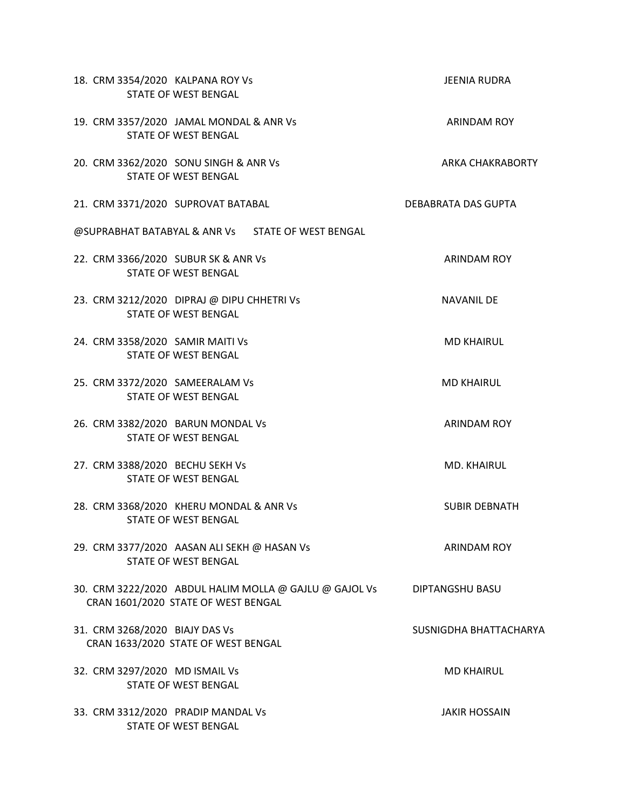| 18. CRM 3354/2020 KALPANA ROY Vs<br><b>STATE OF WEST BENGAL</b>                               | JEENIA RUDRA            |
|-----------------------------------------------------------------------------------------------|-------------------------|
| 19. CRM 3357/2020 JAMAL MONDAL & ANR Vs<br><b>STATE OF WEST BENGAL</b>                        | ARINDAM ROY             |
| 20. CRM 3362/2020 SONU SINGH & ANR Vs<br><b>STATE OF WEST BENGAL</b>                          | <b>ARKA CHAKRABORTY</b> |
| 21. CRM 3371/2020 SUPROVAT BATABAL                                                            | DEBABRATA DAS GUPTA     |
| @SUPRABHAT BATABYAL & ANR Vs STATE OF WEST BENGAL                                             |                         |
| 22. CRM 3366/2020 SUBUR SK & ANR Vs<br><b>STATE OF WEST BENGAL</b>                            | <b>ARINDAM ROY</b>      |
| 23. CRM 3212/2020 DIPRAJ @ DIPU CHHETRI Vs<br><b>STATE OF WEST BENGAL</b>                     | <b>NAVANIL DE</b>       |
| 24. CRM 3358/2020 SAMIR MAITI Vs<br><b>STATE OF WEST BENGAL</b>                               | <b>MD KHAIRUL</b>       |
| 25. CRM 3372/2020 SAMEERALAM Vs<br><b>STATE OF WEST BENGAL</b>                                | <b>MD KHAIRUL</b>       |
| 26. CRM 3382/2020 BARUN MONDAL Vs<br><b>STATE OF WEST BENGAL</b>                              | <b>ARINDAM ROY</b>      |
| 27. CRM 3388/2020 BECHU SEKH Vs<br><b>STATE OF WEST BENGAL</b>                                | MD. KHAIRUL             |
| 28. CRM 3368/2020 KHERU MONDAL & ANR Vs<br><b>STATE OF WEST BENGAL</b>                        | <b>SUBIR DEBNATH</b>    |
| 29. CRM 3377/2020 AASAN ALI SEKH @ HASAN Vs<br><b>STATE OF WEST BENGAL</b>                    | <b>ARINDAM ROY</b>      |
| 30. CRM 3222/2020 ABDUL HALIM MOLLA @ GAJLU @ GAJOL Vs<br>CRAN 1601/2020 STATE OF WEST BENGAL | DIPTANGSHU BASU         |
| 31. CRM 3268/2020 BIAJY DAS Vs<br>CRAN 1633/2020 STATE OF WEST BENGAL                         | SUSNIGDHA BHATTACHARYA  |
| 32. CRM 3297/2020 MD ISMAIL Vs<br><b>STATE OF WEST BENGAL</b>                                 | <b>MD KHAIRUL</b>       |
| 33. CRM 3312/2020 PRADIP MANDAL Vs<br><b>STATE OF WEST BENGAL</b>                             | <b>JAKIR HOSSAIN</b>    |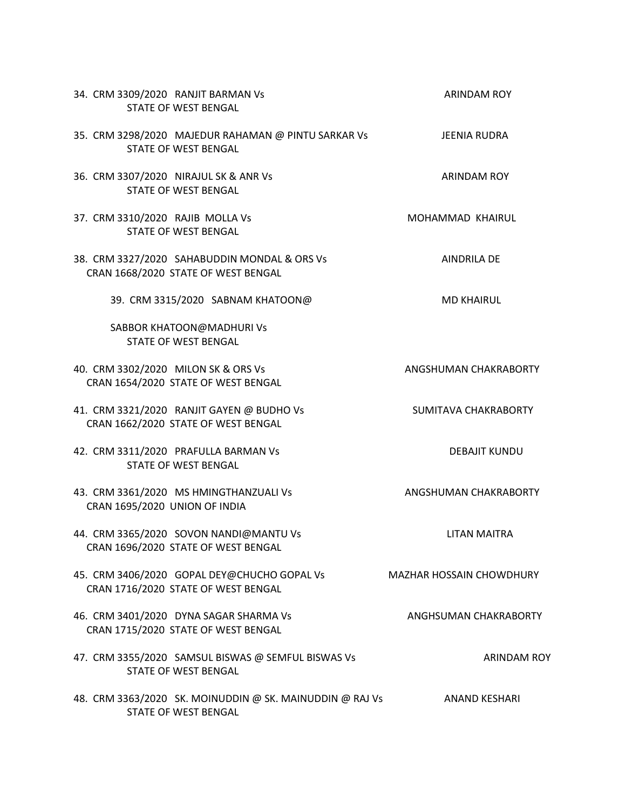| 34. CRM 3309/2020 RANJIT BARMAN Vs<br><b>STATE OF WEST BENGAL</b>                   | <b>ARINDAM ROY</b>              |
|-------------------------------------------------------------------------------------|---------------------------------|
| 35. CRM 3298/2020 MAJEDUR RAHAMAN @ PINTU SARKAR Vs<br><b>STATE OF WEST BENGAL</b>  | <b>JEENIA RUDRA</b>             |
| 36. CRM 3307/2020 NIRAJUL SK & ANR Vs<br><b>STATE OF WEST BENGAL</b>                | <b>ARINDAM ROY</b>              |
| 37. CRM 3310/2020 RAJIB MOLLA Vs<br><b>STATE OF WEST BENGAL</b>                     | MOHAMMAD KHAIRUL                |
| 38. CRM 3327/2020 SAHABUDDIN MONDAL & ORS Vs<br>CRAN 1668/2020 STATE OF WEST BENGAL | <b>AINDRILA DE</b>              |
| 39. CRM 3315/2020 SABNAM KHATOON@                                                   | <b>MD KHAIRUL</b>               |
| SABBOR KHATOON@MADHURIVS<br><b>STATE OF WEST BENGAL</b>                             |                                 |
| 40. CRM 3302/2020 MILON SK & ORS Vs<br>CRAN 1654/2020 STATE OF WEST BENGAL          | ANGSHUMAN CHAKRABORTY           |
| 41. CRM 3321/2020 RANJIT GAYEN @ BUDHO Vs<br>CRAN 1662/2020 STATE OF WEST BENGAL    | SUMITAVA CHAKRABORTY            |
| 42. CRM 3311/2020 PRAFULLA BARMAN Vs<br><b>STATE OF WEST BENGAL</b>                 | <b>DEBAJIT KUNDU</b>            |
| 43. CRM 3361/2020 MS HMINGTHANZUALI Vs<br>CRAN 1695/2020 UNION OF INDIA             | ANGSHUMAN CHAKRABORTY           |
| 44. CRM 3365/2020 SOVON NANDI@MANTU Vs<br>CRAN 1696/2020 STATE OF WEST BENGAL       | <b>LITAN MAITRA</b>             |
| 45. CRM 3406/2020 GOPAL DEY@CHUCHO GOPAL Vs<br>CRAN 1716/2020 STATE OF WEST BENGAL  | <b>MAZHAR HOSSAIN CHOWDHURY</b> |
| 46. CRM 3401/2020 DYNA SAGAR SHARMA Vs<br>CRAN 1715/2020 STATE OF WEST BENGAL       | ANGHSUMAN CHAKRABORTY           |
| 47. CRM 3355/2020 SAMSUL BISWAS @ SEMFUL BISWAS Vs<br><b>STATE OF WEST BENGAL</b>   | <b>ARINDAM ROY</b>              |
| 48. CRM 3363/2020 SK. MOINUDDIN @ SK. MAINUDDIN @ RAJ Vs<br>STATE OF WEST BENGAL    | ANAND KESHARI                   |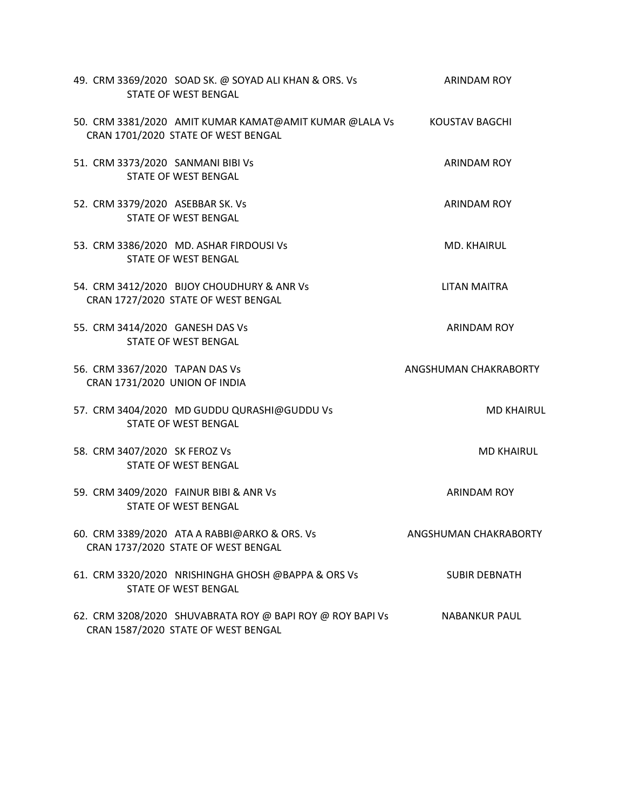| 49. CRM 3369/2020 SOAD SK. @ SOYAD ALI KHAN & ORS. Vs<br><b>STATE OF WEST BENGAL</b>                         | ARINDAM ROY           |
|--------------------------------------------------------------------------------------------------------------|-----------------------|
| 50. CRM 3381/2020 AMIT KUMAR KAMAT@AMIT KUMAR @LALA Vs KOUSTAV BAGCHI<br>CRAN 1701/2020 STATE OF WEST BENGAL |                       |
| 51. CRM 3373/2020 SANMANI BIBI Vs<br><b>STATE OF WEST BENGAL</b>                                             | <b>ARINDAM ROY</b>    |
| 52. CRM 3379/2020 ASEBBAR SK. Vs<br><b>STATE OF WEST BENGAL</b>                                              | <b>ARINDAM ROY</b>    |
| 53. CRM 3386/2020 MD. ASHAR FIRDOUSI Vs<br><b>STATE OF WEST BENGAL</b>                                       | <b>MD. KHAIRUL</b>    |
| 54. CRM 3412/2020 BIJOY CHOUDHURY & ANR Vs<br>CRAN 1727/2020 STATE OF WEST BENGAL                            | <b>LITAN MAITRA</b>   |
| 55. CRM 3414/2020 GANESH DAS Vs<br><b>STATE OF WEST BENGAL</b>                                               | <b>ARINDAM ROY</b>    |
| 56. CRM 3367/2020 TAPAN DAS Vs<br>CRAN 1731/2020 UNION OF INDIA                                              | ANGSHUMAN CHAKRABORTY |
| 57. CRM 3404/2020 MD GUDDU QURASHI@GUDDU Vs<br><b>STATE OF WEST BENGAL</b>                                   | <b>MD KHAIRUL</b>     |
| 58. CRM 3407/2020 SK FEROZ Vs<br><b>STATE OF WEST BENGAL</b>                                                 | <b>MD KHAIRUL</b>     |
| 59. CRM 3409/2020 FAINUR BIBI & ANR Vs<br><b>STATE OF WEST BENGAL</b>                                        | <b>ARINDAM ROY</b>    |
| 60. CRM 3389/2020 ATA A RABBI@ARKO & ORS. Vs<br>CRAN 1737/2020 STATE OF WEST BENGAL                          | ANGSHUMAN CHAKRABORTY |
| 61. CRM 3320/2020 NRISHINGHA GHOSH @BAPPA & ORS Vs<br><b>STATE OF WEST BENGAL</b>                            | <b>SUBIR DEBNATH</b>  |
| 62. CRM 3208/2020 SHUVABRATA ROY @ BAPI ROY @ ROY BAPI Vs<br>CRAN 1587/2020 STATE OF WEST BENGAL             | <b>NABANKUR PAUL</b>  |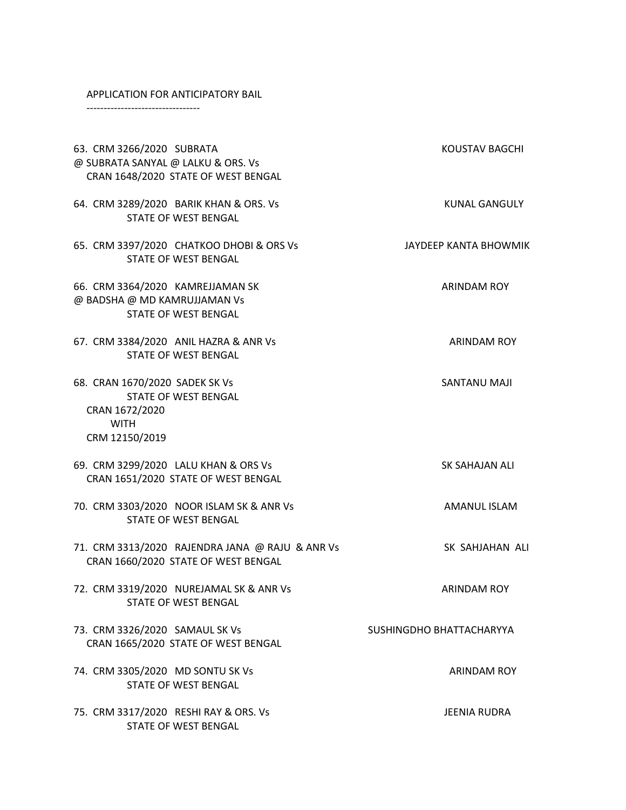#### APPLICATION FOR ANTICIPATORY BAIL

STATE OF WEST BENGAL

---------------------------------

63. CRM 3266/2020 SUBRATA KOUSTAV BAGCHI @ SUBRATA SANYAL @ LALKU & ORS. Vs CRAN 1648/2020 STATE OF WEST BENGAL 64. CRM 3289/2020 BARIK KHAN & ORS. Vs KUNAL GANGULY STATE OF WEST BENGAL 65. CRM 3397/2020 CHATKOO DHOBI & ORS Vs JAYDEEP KANTA BHOWMIK STATE OF WEST BENGAL 66. CRM 3364/2020 KAMREJJAMAN SK ARINDAM ROY @ BADSHA @ MD KAMRUJJAMAN Vs STATE OF WEST BENGAL 67. CRM 3384/2020 ANIL HAZRA & ANR Vs ARINDAM ROY STATE OF WEST BENGAL 68. CRAN 1670/2020 SADEK SK Vs SANTANU MAJI STATE OF WEST BENGAL CRAN 1672/2020 WITH CRM 12150/2019 69. CRM 3299/2020 LALU KHAN & ORS Vs SK SAHAJAN ALI CRAN 1651/2020 STATE OF WEST BENGAL 70. CRM 3303/2020 NOOR ISLAM SK & ANR Vs AMANUL ISLAM STATE OF WEST BENGAL 71. CRM 3313/2020 RAJENDRA JANA @ RAJU & ANR Vs SK SAHJAHAN ALI CRAN 1660/2020 STATE OF WEST BENGAL 72. CRM 3319/2020 NUREJAMAL SK & ANR Vs ARINDAM ROY STATE OF WEST BENGAL 73. CRM 3326/2020 SAMAUL SK Vs SUSHINGDHO BHATTACHARYYA CRAN 1665/2020 STATE OF WEST BENGAL 74. CRM 3305/2020 MD SONTU SK Vs ARINDAM ROY STATE OF WEST BENGAL 75. CRM 3317/2020 RESHI RAY & ORS. Vs JEENIA RUDRA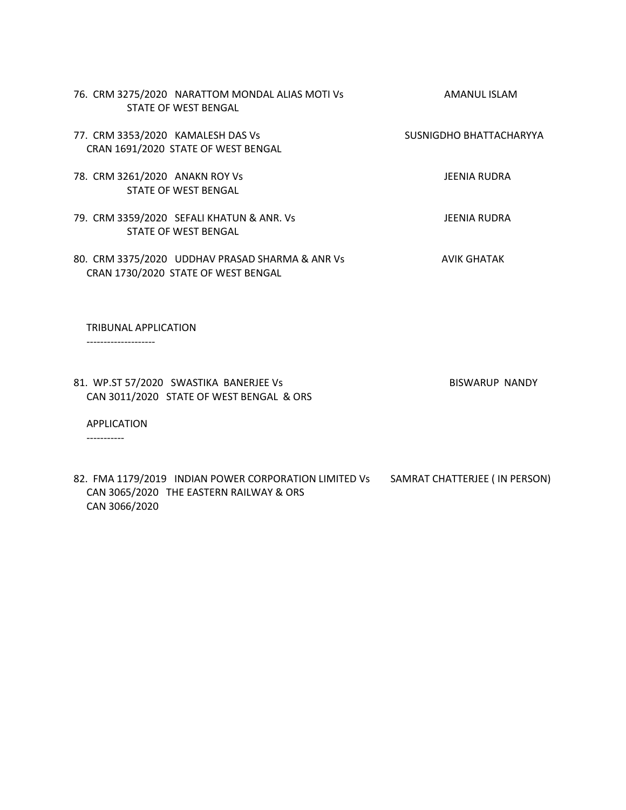| 76. CRM 3275/2020 NARATTOM MONDAL ALIAS MOTI VS<br>STATE OF WEST BENGAL                | AMANUL ISLAM            |
|----------------------------------------------------------------------------------------|-------------------------|
| 77. CRM 3353/2020 KAMALESH DAS Vs<br>CRAN 1691/2020 STATE OF WEST BENGAL               | SUSNIGDHO BHATTACHARYYA |
| 78. CRM 3261/2020 ANAKN ROY Vs<br>STATE OF WEST BENGAL                                 | JEENIA RUDRA            |
| 79. CRM 3359/2020 SEFALI KHATUN & ANR. Vs<br>STATE OF WEST BENGAL                      | JEENIA RUDRA            |
| 80. CRM 3375/2020 UDDHAV PRASAD SHARMA & ANR Vs<br>CRAN 1730/2020 STATE OF WEST BENGAL | <b>AVIK GHATAK</b>      |
| TRIBUNAL APPLICATION                                                                   |                         |

--------------------

81. WP.ST 57/2020 SWASTIKA BANERJEE Vs BISWARUP NANDY CAN 3011/2020 STATE OF WEST BENGAL & ORS

APPLICATION

-----------

82. FMA 1179/2019 INDIAN POWER CORPORATION LIMITED Vs SAMRAT CHATTERJEE ( IN PERSON) CAN 3065/2020 THE EASTERN RAILWAY & ORS CAN 3066/2020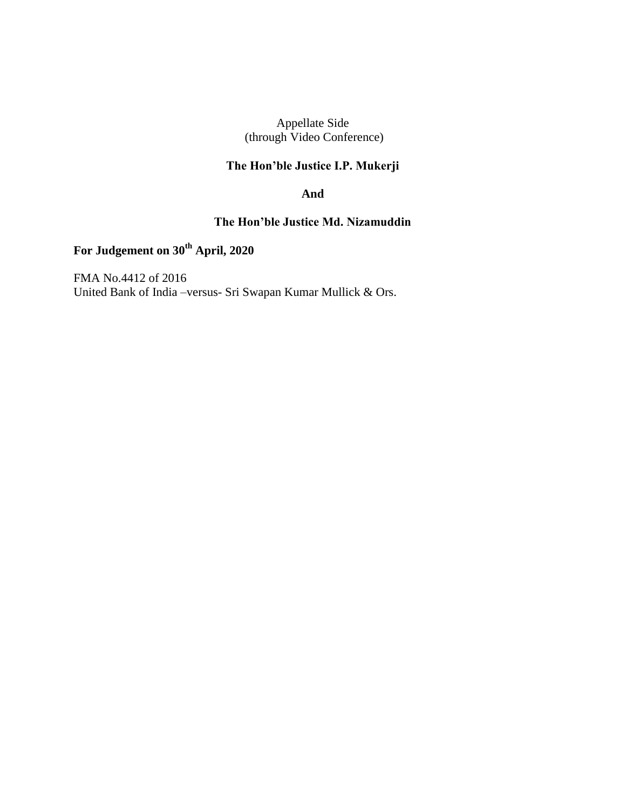Appellate Side (through Video Conference)

# **The Hon'ble Justice I.P. Mukerji**

## **And**

# **The Hon'ble Justice Md. Nizamuddin**

# **For Judgement on 30th April, 2020**

FMA No.4412 of 2016 United Bank of India –versus- Sri Swapan Kumar Mullick & Ors.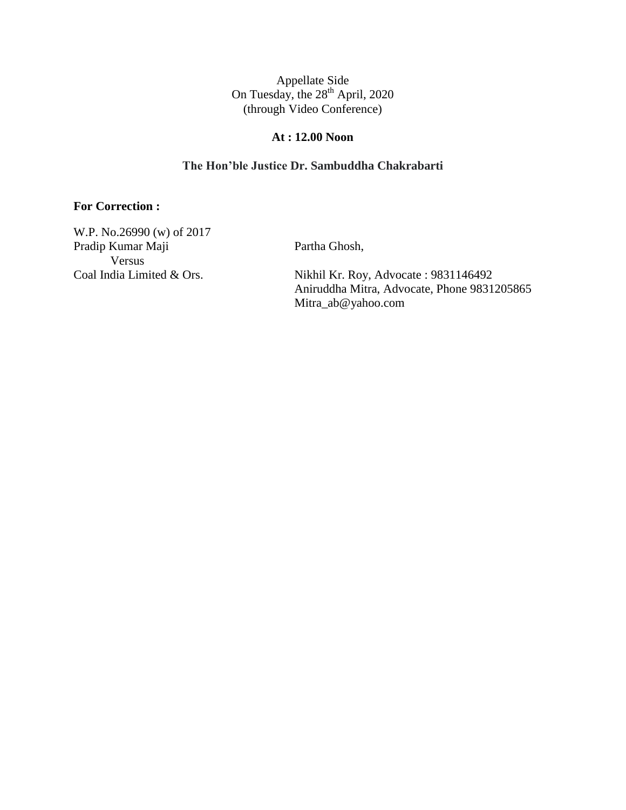# **At : 12.00 Noon**

# **The Hon'ble Justice Dr. Sambuddha Chakrabarti**

### **For Correction :**

W.P. No.26990 (w) of 2017 Pradip Kumar Maji Partha Ghosh, Versus<br>Coal India Limited & Ors.

Nikhil Kr. Roy, Advocate : 9831146492 Aniruddha Mitra, Advocate, Phone 9831205865 Mitra\_ab@yahoo.com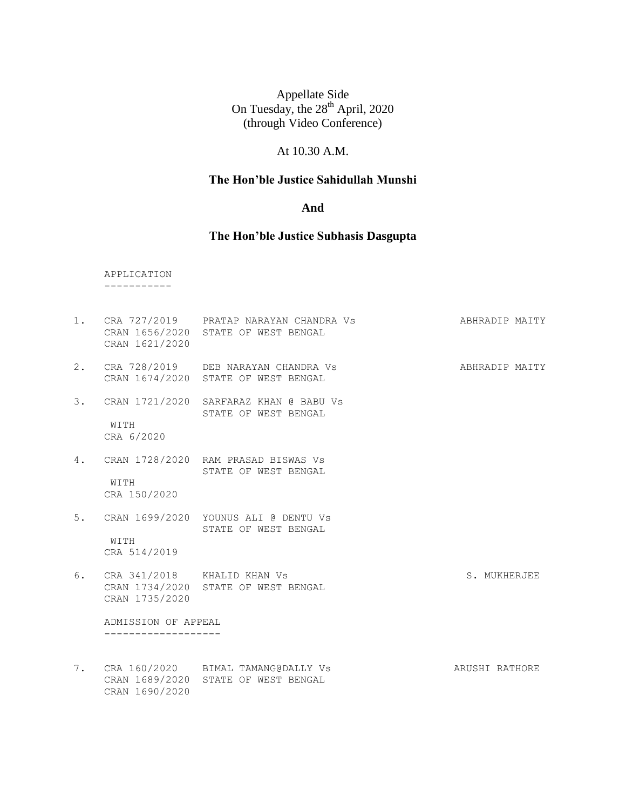# At 10.30 A.M.

# **The Hon'ble Justice Sahidullah Munshi**

#### **And**

# **The Hon'ble Justice Subhasis Dasgupta**

 APPLICATION -----------

|    | CRAN 1621/2020                                | 1. CRA 727/2019 PRATAP NARAYAN CHANDRA VS<br>CRAN 1656/2020 STATE OF WEST BENGAL | ABHRADIP MAITY |
|----|-----------------------------------------------|----------------------------------------------------------------------------------|----------------|
| 2. |                                               | CRA 728/2019 DEB NARAYAN CHANDRA VS<br>CRAN 1674/2020 STATE OF WEST BENGAL       | ABHRADIP MAITY |
| 3. | WITH<br>CRA 6/2020                            | CRAN 1721/2020 SARFARAZ KHAN @ BABU Vs<br>STATE OF WEST BENGAL                   |                |
| 4. | WITH<br>CRA 150/2020                          | CRAN 1728/2020 RAM PRASAD BISWAS Vs<br>STATE OF WEST BENGAL                      |                |
|    | WITH<br>CRA 514/2019                          | 5. CRAN 1699/2020 YOUNUS ALI @ DENTU Vs<br>STATE OF WEST BENGAL                  |                |
| 6. | CRA 341/2018 KHALID KHAN Vs<br>CRAN 1735/2020 | CRAN 1734/2020 STATE OF WEST BENGAL                                              | S. MUKHERJEE   |
|    | ADMISSION OF APPEAL                           |                                                                                  |                |
|    | CRAN 1690/2020                                | 7. CRA 160/2020 BIMAL TAMANG@DALLY Vs<br>CRAN 1689/2020 STATE OF WEST BENGAL     | ARUSHI RATHORE |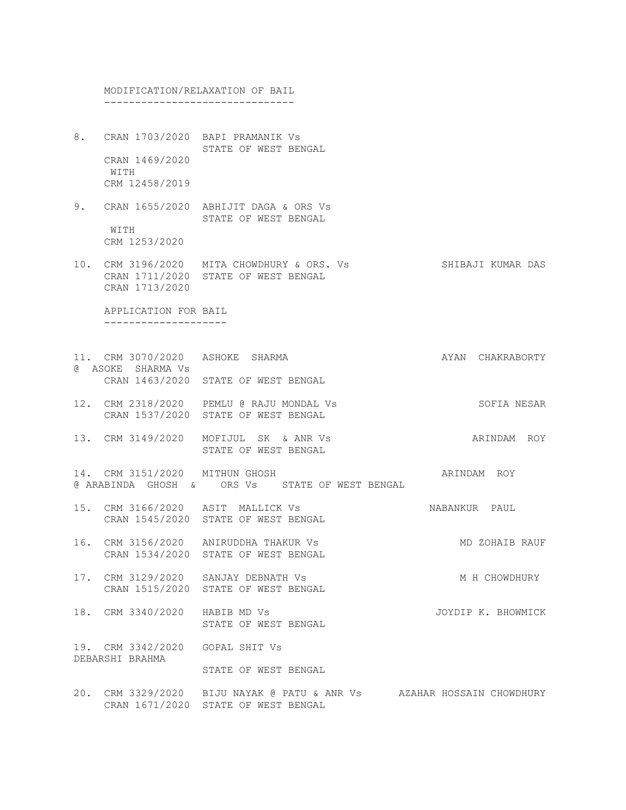MODIFICATION/RELAXATION OF BAIL -------------------------------

- 8. CRAN 1703/2020 BAPI PRAMANIK Vs STATE OF WEST BENGAL CRAN 1469/2020 WITH CRM 12458/2019
- 9. CRAN 1655/2020 ABHIJIT DAGA & ORS Vs STATE OF WEST BENGAL WITH CRM 1253/2020
- 10. CRM 3196/2020 MITA CHOWDHURY & ORS. Vs SHIBAJI KUMAR DAS CRAN 1711/2020 STATE OF WEST BENGAL CRAN 1713/2020

 APPLICATION FOR BAIL --------------------

- 11. CRM 3070/2020 ASHOKE SHARMA AT AYAN CHAKRABORTY @ ASOKE SHARMA Vs CRAN 1463/2020 STATE OF WEST BENGAL
- 12. CRM 2318/2020 PEMLU @ RAJU MONDAL Vs SOFIA NESAR CRAN 1537/2020 STATE OF WEST BENGAL
- 13. CRM 3149/2020 MOFIJUL SK & ANR Vs ARINDAM ROY STATE OF WEST BENGAL
- 14. CRM 3151/2020 MITHUN GHOSH ARINDAM ROY @ ARABINDA GHOSH & ORS Vs STATE OF WEST BENGAL
- 15. CRM 3166/2020 ASIT MALLICK Vs NABANKUR PAUL CRAN 1545/2020 STATE OF WEST BENGAL
- 16. CRM 3156/2020 ANIRUDDHA THAKUR Vs MO ZOHAIB RAUF CRAN 1534/2020 STATE OF WEST BENGAL
- 17. CRM 3129/2020 SANJAY DEBNATH Vs M M H CHOWDHURY CRAN 1515/2020 STATE OF WEST BENGAL
- 18. CRM 3340/2020 HABIB MD Vs JOYDIP K. BHOWMICK STATE OF WEST BENGAL

19. CRM 3342/2020 GOPAL SHIT Vs DEBARSHI BRAHMA

STATE OF WEST BENGAL

20. CRM 3329/2020 BIJU NAYAK @ PATU & ANR Vs AZAHAR HOSSAIN CHOWDHURY CRAN 1671/2020 STATE OF WEST BENGAL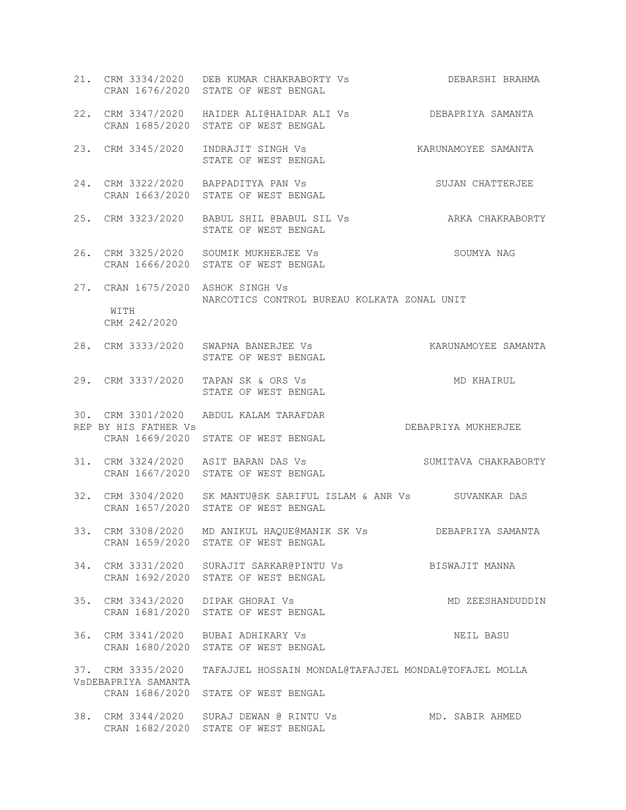|                                                           | 21. CRM 3334/2020 DEB KUMAR CHAKRABORTY Vs DEBARSHI BRAHMA<br>CRAN 1676/2020 STATE OF WEST BENGAL        |                      |
|-----------------------------------------------------------|----------------------------------------------------------------------------------------------------------|----------------------|
|                                                           | 22. CRM 3347/2020 HAIDER ALI@HAIDAR ALI Vs DEBAPRIYA SAMANTA<br>CRAN 1685/2020 STATE OF WEST BENGAL      |                      |
|                                                           | 23. CRM 3345/2020 INDRAJIT SINGH Vs KARUNAMOYEE SAMANTA<br>STATE OF WEST BENGAL                          |                      |
|                                                           | 24. CRM 3322/2020 BAPPADITYA PAN Vs<br>CRAN 1663/2020 STATE OF WEST BENGAL                               | SUJAN CHATTERJEE     |
|                                                           | 25. CRM 3323/2020 BABUL SHIL @BABUL SIL Vs ARKA CHAKRABORTY<br>STATE OF WEST BENGAL                      |                      |
|                                                           | 26. CRM 3325/2020 SOUMIK MUKHERJEE Vs<br>CRAN 1666/2020 STATE OF WEST BENGAL                             | SOUMYA NAG           |
| 27. CRAN 1675/2020 ASHOK SINGH Vs<br>WITH<br>CRM 242/2020 | NARCOTICS CONTROL BUREAU KOLKATA ZONAL UNIT                                                              |                      |
|                                                           | 28. CRM 3333/2020 SWAPNA BANERJEE Vs<br>STATE OF WEST BENGAL                                             | KARUNAMOYEE SAMANTA  |
|                                                           | 29. CRM 3337/2020 TAPAN SK & ORS Vs<br>STATE OF WEST BENGAL                                              | MD KHAIRUL           |
| REP BY HIS FATHER Vs                                      | 30. CRM 3301/2020 ABDUL KALAM TARAFDAR<br>CRAN 1669/2020 STATE OF WEST BENGAL                            | DEBAPRIYA MUKHERJEE  |
|                                                           | 31. CRM 3324/2020 ASIT BARAN DAS Vs<br>CRAN 1667/2020 STATE OF WEST BENGAL                               | SUMITAVA CHAKRABORTY |
|                                                           | 32. CRM 3304/2020 SK MANTU@SK SARIFUL ISLAM & ANR Vs SUVANKAR DAS<br>CRAN 1657/2020 STATE OF WEST BENGAL |                      |
|                                                           | 33. CRM 3308/2020 MD ANIKUL HAQUE@MANIK SK Vs DEBAPRIYA SAMANTA<br>CRAN 1659/2020 STATE OF WEST BENGAL   |                      |
|                                                           | 34. CRM 3331/2020 SURAJIT SARKAR@PINTU Vs<br>CRAN 1692/2020 STATE OF WEST BENGAL                         | BISWAJIT MANNA       |
| 35. CRM 3343/2020 DIPAK GHORAI Vs                         | CRAN 1681/2020 STATE OF WEST BENGAL                                                                      | MD ZEESHANDUDDIN     |
|                                                           | 36. CRM 3341/2020 BUBAI ADHIKARY Vs<br>CRAN 1680/2020 STATE OF WEST BENGAL                               | NEIL BASU            |
| VSDEBAPRIYA SAMANTA                                       | 37. CRM 3335/2020 TAFAJJEL HOSSAIN MONDAL@TAFAJJEL MONDAL@TOFAJEL MOLLA                                  |                      |
|                                                           | CRAN 1686/2020 STATE OF WEST BENGAL                                                                      |                      |
|                                                           | 38. CRM 3344/2020 SURAJ DEWAN @ RINTU Vs<br>CRAN 1682/2020 STATE OF WEST BENGAL                          | MD. SABIR AHMED      |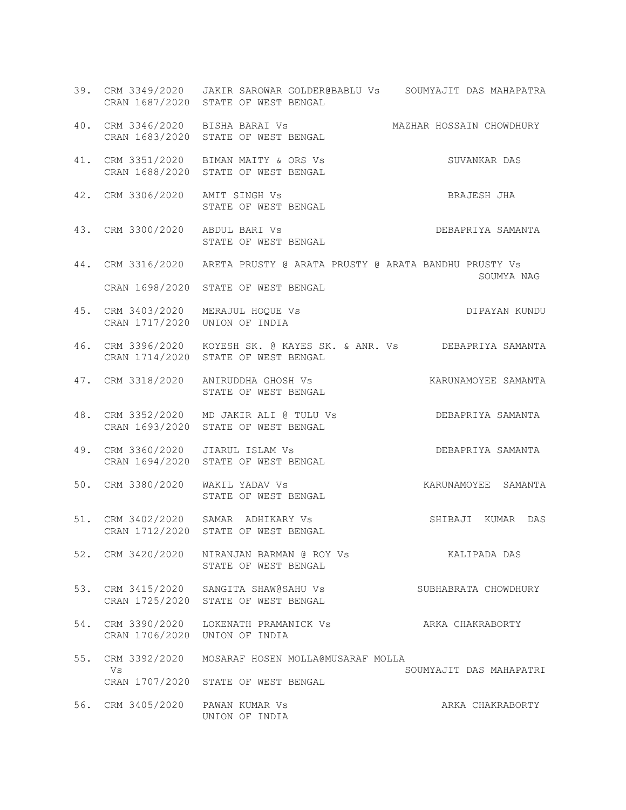|                                  | 39. CRM 3349/2020 JAKIR SAROWAR GOLDER@BABLU Vs SOUMYAJIT DAS MAHAPATRA<br>CRAN 1687/2020 STATE OF WEST BENGAL |                         |
|----------------------------------|----------------------------------------------------------------------------------------------------------------|-------------------------|
|                                  | 40. CRM 3346/2020 BISHA BARAI VS             MAZHAR HOSSAIN CHOWDHURY CRAN 1683/2020 STATE OF WEST BENGAL      |                         |
|                                  | 41. CRM 3351/2020 BIMAN MAITY & ORS Vs<br>CRAN 1688/2020 STATE OF WEST BENGAL                                  | SUVANKAR DAS            |
| 42. CRM 3306/2020 AMIT SINGH Vs  | STATE OF WEST BENGAL                                                                                           | BRAJESH JHA             |
| 43. CRM 3300/2020 ABDUL BARI Vs  | ABDUL BARI VS<br>STATE OF WEST BENGAL STATE OF WEST BENGAL                                                     |                         |
|                                  | 44. CRM 3316/2020 ARETA PRUSTY @ ARATA PRUSTY @ ARATA BANDHU PRUSTY Vs<br>CRAN 1698/2020 STATE OF WEST BENGAL  | SOUMYA NAG              |
|                                  | 45. CRM 3403/2020 MERAJUL HOQUE Vs<br>CRAN 1717/2020 UNION OF INDIA                                            | DIPAYAN KUNDU           |
|                                  | 46. CRM 3396/2020 KOYESH SK. @ KAYES SK. & ANR. Vs DEBAPRIYA SAMANTA<br>CRAN 1714/2020 STATE OF WEST BENGAL    |                         |
|                                  | 47. CRM 3318/2020 ANIRUDDHA GHOSH VS ARRUNAMOYEE SAMANTA<br>STATE OF WEST BENGAL                               |                         |
|                                  | 48. CRM 3352/2020 MD JAKIR ALI @ TULU Vs DEBAPRIYA SAMANTA<br>CRAN 1693/2020 STATE OF WEST BENGAL              |                         |
|                                  | GAL<br>49. CRM 3360/2020 JIARUL ISLAM Vs<br>CRAN 1694/2020 STATE OF WEST BENGAL                                | DEBAPRIYA SAMANTA       |
| 50. CRM 3380/2020 WAKIL YADAV Vs | STATE OF WEST BENGAL                                                                                           | KARUNAMOYEE SAMANTA     |
|                                  | 51. CRM 3402/2020 SAMAR ADHIKARY Vs<br>CRAN 1712/2020 STATE OF WEST BENGAL                                     | SHIBAJI KUMAR DAS       |
|                                  | 52. CRM 3420/2020 NIRANJAN BARMAN @ ROY Vs<br>STATE OF WEST BENGAL                                             | KALIPADA DAS            |
|                                  | 53. CRM 3415/2020 SANGITA SHAW@SAHU Vs<br>CRAN 1725/2020 STATE OF WEST BENGAL                                  | SUBHABRATA CHOWDHURY    |
|                                  | 54. CRM 3390/2020 LOKENATH PRAMANICK Vs<br>CRAN 1706/2020 UNION OF INDIA                                       | ARKA CHAKRABORTY        |
| Vs                               | 55. CRM 3392/2020 MOSARAF HOSEN MOLLA@MUSARAF MOLLA<br>CRAN 1707/2020 STATE OF WEST BENGAL                     | SOUMYAJIT DAS MAHAPATRI |
| 56. CRM 3405/2020 PAWAN KUMAR Vs | UNION OF INDIA                                                                                                 | ARKA CHAKRABORTY        |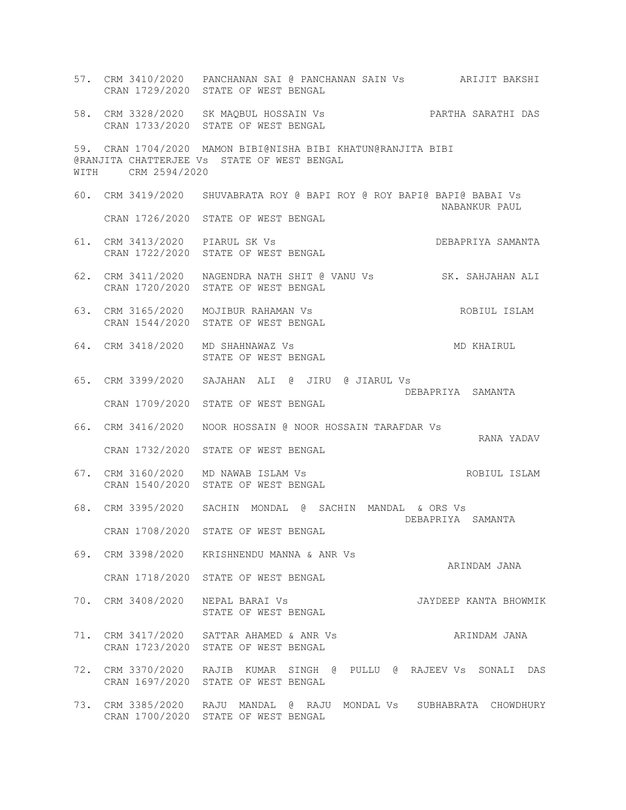57. CRM 3410/2020 PANCHANAN SAI @ PANCHANAN SAIN Vs ARIJIT BAKSHI CRAN 1729/2020 STATE OF WEST BENGAL 58. CRM 3328/2020 SK MAQBUL HOSSAIN Vs PARTHA SARATHI DAS CRAN 1733/2020 STATE OF WEST BENGAL 59. CRAN 1704/2020 MAMON BIBI@NISHA BIBI KHATUN@RANJITA BIBI @RANJITA CHATTERJEE Vs STATE OF WEST BENGAL WITH CRM 2594/2020 60. CRM 3419/2020 SHUVABRATA ROY @ BAPI ROY @ ROY BAPI@ BAPI@ BABAI Vs NABANKUR PAUL CRAN 1726/2020 STATE OF WEST BENGAL 61. CRM 3413/2020 PIARUL SK Vs DEBAPRIYA SAMANTA CRAN 1722/2020 STATE OF WEST BENGAL 62. CRM 3411/2020 NAGENDRA NATH SHIT @ VANU Vs SK. SAHJAHAN ALI CRAN 1720/2020 STATE OF WEST BENGAL 63. CRM 3165/2020 MOJIBUR RAHAMAN Vs ROBIUL ISLAM CRAN 1544/2020 STATE OF WEST BENGAL 64. CRM 3418/2020 MD SHAHNAWAZ Vs MD KHAIRUL STATE OF WEST BENGAL 65. CRM 3399/2020 SAJAHAN ALI @ JIRU @ JIARUL Vs DEBAPRIYA SAMANTA CRAN 1709/2020 STATE OF WEST BENGAL 66. CRM 3416/2020 NOOR HOSSAIN @ NOOR HOSSAIN TARAFDAR Vs RANA YADAV CRAN 1732/2020 STATE OF WEST BENGAL 67. CRM 3160/2020 MD NAWAB ISLAM Vs ROBIUL ISLAM CRAN 1540/2020 STATE OF WEST BENGAL 68. CRM 3395/2020 SACHIN MONDAL @ SACHIN MANDAL & ORS Vs DEBAPRIYA SAMANTA CRAN 1708/2020 STATE OF WEST BENGAL 69. CRM 3398/2020 KRISHNENDU MANNA & ANR Vs ARINDAM JANA CRAN 1718/2020 STATE OF WEST BENGAL 70. CRM 3408/2020 NEPAL BARAI Vs JAYDEEP KANTA BHOWMIK STATE OF WEST BENGAL 71. CRM 3417/2020 SATTAR AHAMED & ANR Vs **ARINDAM JANA**  CRAN 1723/2020 STATE OF WEST BENGAL 72. CRM 3370/2020 RAJIB KUMAR SINGH @ PULLU @ RAJEEV Vs SONALI DAS CRAN 1697/2020 STATE OF WEST BENGAL 73. CRM 3385/2020 RAJU MANDAL @ RAJU MONDAL Vs SUBHABRATA CHOWDHURY CRAN 1700/2020 STATE OF WEST BENGAL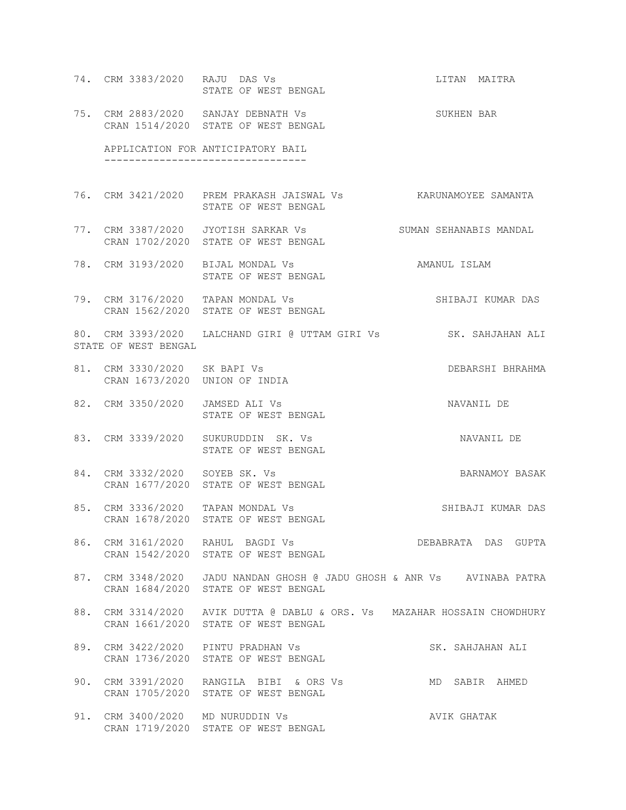74. CRM 3383/2020 RAJU DAS Vs **LITAN MAITRA** RAJU DAS Vs<br>STATE OF WEST BENGAL 75. CRM 2883/2020 SANJAY DEBNATH Vs SUKHEN BAR CRAN 1514/2020 STATE OF WEST BENGAL APPLICATION FOR ANTICIPATORY BAIL --------------------------------- 76. CRM 3421/2020 PREM PRAKASH JAISWAL Vs KARUNAMOYEE SAMANTA STATE OF WEST BENGAL 77. CRM 3387/2020 JYOTISH SARKAR Vs SUMAN SEHANABIS MANDAL CRAN 1702/2020 STATE OF WEST BENGAL 78. CRM 3193/2020 BIJAL MONDAL Vs AMANUL ISLAM STATE OF WEST BENGAL 79. CRM 3176/2020 TAPAN MONDAL Vs SHIBAJI KUMAR DAS CRAN 1562/2020 STATE OF WEST BENGAL 80. CRM 3393/2020 LALCHAND GIRI @ UTTAM GIRI Vs SK. SAHJAHAN ALI STATE OF WEST BENGAL 81. CRM 3330/2020 SK BAPI Vs CHARAMA DEBARSHI BHRAHMA CRAN 1673/2020 UNION OF INDIA 82. CRM 3350/2020 JAMSED ALI Vs NAVANIL DE STATE OF WEST BENGAL 83. CRM 3339/2020 SUKURUDDIN SK. Vs NAVANIL DE STATE OF WEST BENGAL 84. CRM 3332/2020 SOYEB SK. Vs BARNAMOY BASAK CRAN 1677/2020 STATE OF WEST BENGAL 85. CRM 3336/2020 TAPAN MONDAL Vs SHIBAJI KUMAR DAS CRAN 1678/2020 STATE OF WEST BENGAL 86. CRM 3161/2020 RAHUL BAGDI Vs **DEBABRATA DAS GUPTA**  CRAN 1542/2020 STATE OF WEST BENGAL 87. CRM 3348/2020 JADU NANDAN GHOSH @ JADU GHOSH & ANR Vs AVINABA PATRA CRAN 1684/2020 STATE OF WEST BENGAL 88. CRM 3314/2020 AVIK DUTTA @ DABLU & ORS. Vs MAZAHAR HOSSAIN CHOWDHURY CRAN 1661/2020 STATE OF WEST BENGAL 89. CRM 3422/2020 PINTU PRADHAN Vs SK. SAHJAHAN ALI CRAN 1736/2020 STATE OF WEST BENGAL 90. CRM 3391/2020 RANGILA BIBI & ORS Vs MD SABIR AHMED CRAN 1705/2020 STATE OF WEST BENGAL 91. CRM 3400/2020 MD NURUDDIN Vs AVIK GHATAK CRAN 1719/2020 STATE OF WEST BENGAL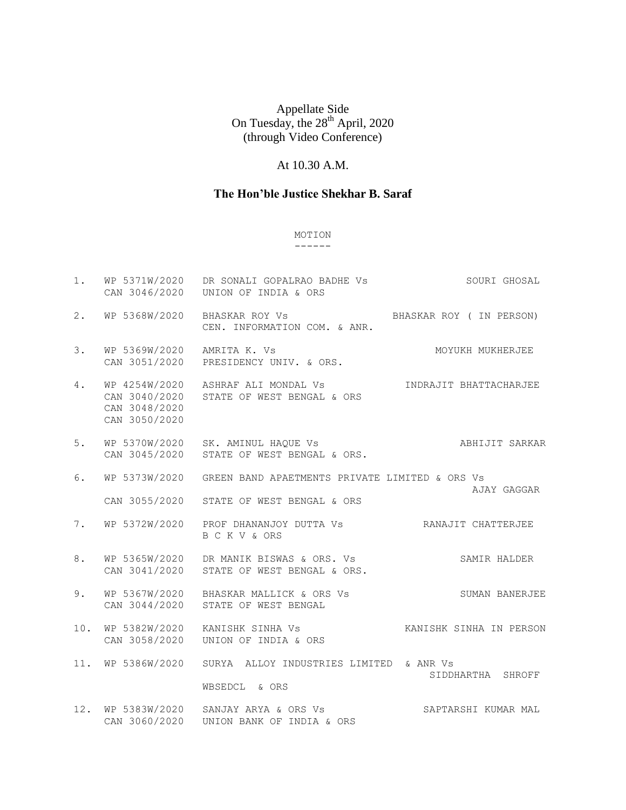# At 10.30 A.M.

# **The Hon'ble Justice Shekhar B. Saraf**

# MOTION

#### ------

| 1.     | WP 5371W/2020<br>CAN 3046/2020                  | DR SONALI GOPALRAO BADHE Vs<br>UNION OF INDIA & ORS                           | SOURI GHOSAL            |
|--------|-------------------------------------------------|-------------------------------------------------------------------------------|-------------------------|
| 2.     | WP 5368W/2020                                   | BHASKAR ROY Vs<br>CEN. INFORMATION COM. & ANR.                                | BHASKAR ROY (IN PERSON) |
| 3.     | WP 5369W/2020<br>CAN 3051/2020                  | AMRITA K. Vs<br>PRESIDENCY UNIV. & ORS.                                       | MOYUKH MUKHERJEE        |
| 4.     | CAN 3040/2020<br>CAN 3048/2020<br>CAN 3050/2020 | WP 4254W/2020 ASHRAF ALI MONDAL Vs<br>STATE OF WEST BENGAL & ORS              | INDRAJIT BHATTACHARJEE  |
| 5.     | CAN 3045/2020                                   | WP 5370W/2020 SK. AMINUL HAQUE Vs<br>STATE OF WEST BENGAL & ORS.              | ABHIJIT SARKAR          |
| 6.     | WP 5373W/2020                                   | GREEN BAND APAETMENTS PRIVATE LIMITED & ORS Vs                                |                         |
|        | CAN 3055/2020                                   | STATE OF WEST BENGAL & ORS                                                    | AJAY GAGGAR             |
| 7.     | WP 5372W/2020                                   | PROF DHANANJOY DUTTA Vs <b>EXAVALUATE RANAJIT CHATTERJEE</b><br>B C K V & ORS |                         |
| 8.     | WP 5365W/2020<br>CAN 3041/2020                  | DR MANIK BISWAS & ORS. Vs<br>STATE OF WEST BENGAL & ORS.                      | SAMIR HALDER            |
| 9.     | CAN 3044/2020                                   | WP 5367W/2020 BHASKAR MALLICK & ORS Vs<br>STATE OF WEST BENGAL                | SUMAN BANERJEE          |
| $10$ . | WP 5382W/2020<br>CAN 3058/2020                  | KANISHK SINHA Vs<br>UNION OF INDIA & ORS                                      | KANISHK SINHA IN PERSON |
| 11.    | WP 5386W/2020                                   | SURYA ALLOY INDUSTRIES LIMITED & ANR Vs<br>WBSEDCL & ORS                      | SIDDHARTHA SHROFF       |
| 12.    | CAN 3060/2020                                   | WP 5383W/2020 SANJAY ARYA & ORS Vs<br>UNION BANK OF INDIA & ORS               | SAPTARSHI KUMAR MAL     |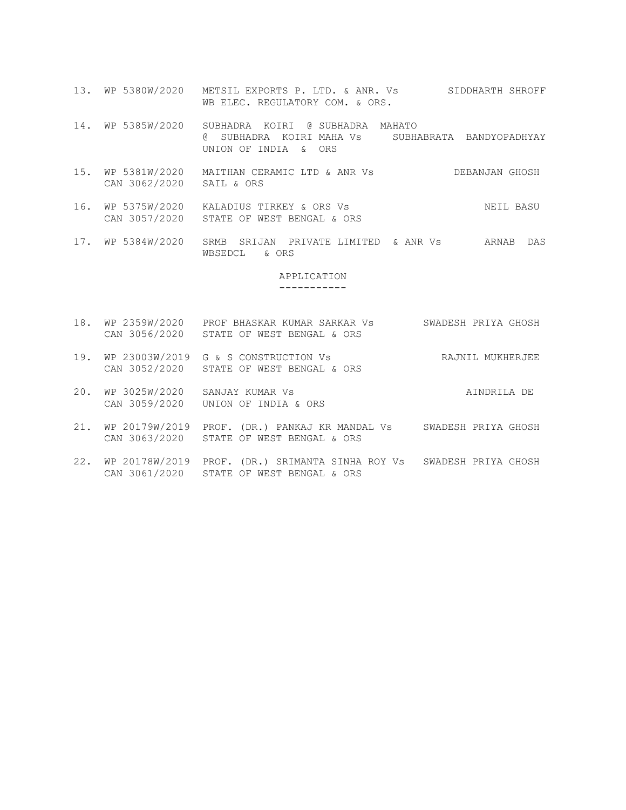- 13. WP 5380W/2020 METSIL EXPORTS P. LTD. & ANR. Vs SIDDHARTH SHROFF WB ELEC. REGULATORY COM. & ORS.
- 14. WP 5385W/2020 SUBHADRA KOIRI @ SUBHADRA MAHATO @ SUBHADRA KOIRI MAHA Vs SUBHABRATA BANDYOPADHYAY UNION OF INDIA & ORS
- 15. WP 5381W/2020 MAITHAN CERAMIC LTD & ANR Vs DEBANJAN GHOSH CAN 3062/2020 SAIL & ORS
- 16. WP 5375W/2020 KALADIUS TIRKEY & ORS Vs NEIL BASU CAN 3057/2020 STATE OF WEST BENGAL & ORS
- 17. WP 5384W/2020 SRMB SRIJAN PRIVATE LIMITED & ANR Vs ARNAB DAS WBSEDCL & ORS

#### APPLICATION -----------

- 18. WP 2359W/2020 PROF BHASKAR KUMAR SARKAR Vs SWADESH PRIYA GHOSH CAN 3056/2020 STATE OF WEST BENGAL & ORS
- 19. WP 23003W/2019 G & S CONSTRUCTION Vs RAJNIL MUKHERJEE CAN 3052/2020 STATE OF WEST BENGAL & ORS
- 20. WP 3025W/2020 SANJAY KUMAR Vs 
almost a series and the series of the series and the series and the series of the series of the series of the series of the series of the series of the series of the series of the series CAN 3059/2020 UNION OF INDIA & ORS
- 21. WP 20179W/2019 PROF. (DR.) PANKAJ KR MANDAL Vs SWADESH PRIYA GHOSH CAN 3063/2020 STATE OF WEST BENGAL & ORS
- 22. WP 20178W/2019 PROF. (DR.) SRIMANTA SINHA ROY Vs SWADESH PRIYA GHOSH CAN 3061/2020 STATE OF WEST BENGAL & ORS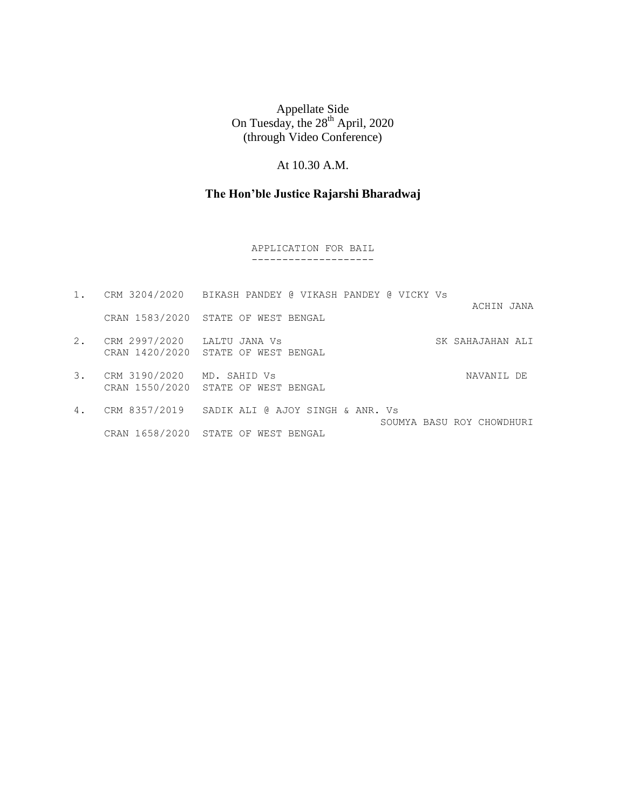# At 10.30 A.M.

# **The Hon'ble Justice Rajarshi Bharadwaj**

#### APPLICATION FOR BAIL --------------------

| $1$ . |                             | CRM 3204/2020 BIKASH PANDEY @ VIKASH PANDEY @ VICKY Vs                      |
|-------|-----------------------------|-----------------------------------------------------------------------------|
|       |                             | ACHIN JANA<br>CRAN 1583/2020 STATE OF WEST BENGAL                           |
| 2.    | CRM 2997/2020 LALTU JANA Vs | SK SAHAJAHAN ALI<br>CRAN 1420/2020 STATE OF WEST BENGAL                     |
| 3.    | CRM 3190/2020 MD. SAHID Vs  | NAVANIL DE<br>CRAN 1550/2020 STATE OF WEST BENGAL                           |
| 4.    |                             | CRM 8357/2019 SADIK ALI @ AJOY SINGH & ANR. Vs<br>SOUMYA BASU ROY CHOWDHURI |
|       | CRAN 1658/2020 STATE OF     | WEST BENGAL                                                                 |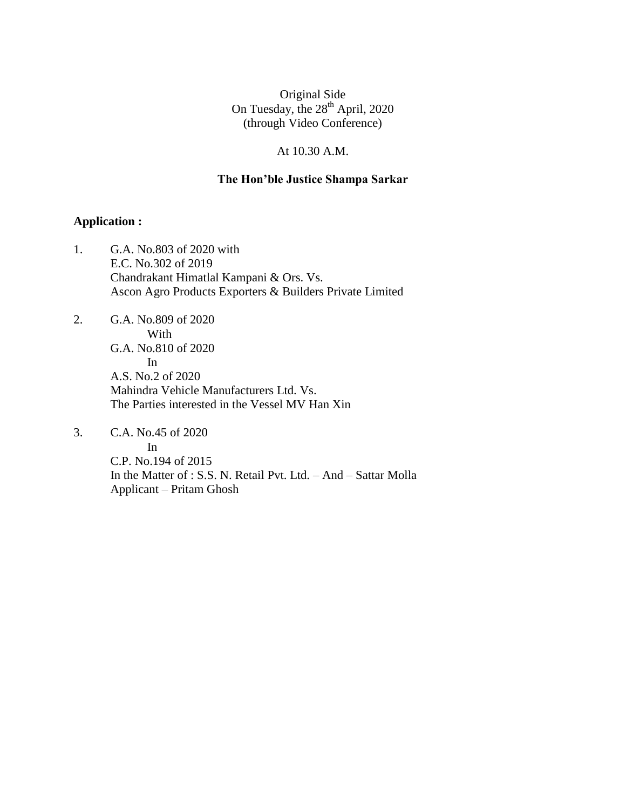#### At 10.30 A.M.

#### **The Hon'ble Justice Shampa Sarkar**

# **Application :**

- 1. G.A. No.803 of 2020 with E.C. No.302 of 2019 Chandrakant Himatlal Kampani & Ors. Vs. Ascon Agro Products Exporters & Builders Private Limited
- 2. G.A. No.809 of 2020 With G.A. No.810 of 2020 In A.S. No.2 of 2020 Mahindra Vehicle Manufacturers Ltd. Vs. The Parties interested in the Vessel MV Han Xin
- 3. C.A. No.45 of 2020 In C.P. No.194 of 2015 In the Matter of : S.S. N. Retail Pvt. Ltd. – And – Sattar Molla Applicant – Pritam Ghosh